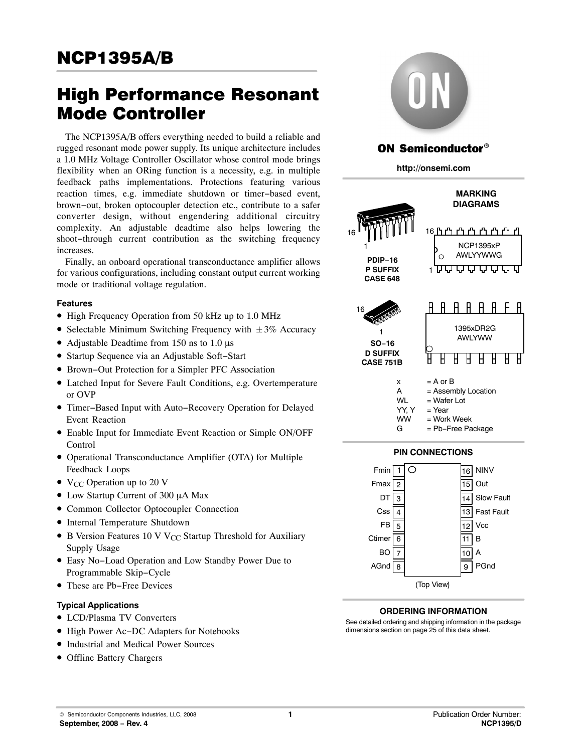# High Performance Resonant Mode Controller

The NCP1395A/B offers everything needed to build a reliable and rugged resonant mode power supply. Its unique architecture includes a 1.0 MHz Voltage Controller Oscillator whose control mode brings flexibility when an ORing function is a necessity, e.g. in multiple feedback paths implementations. Protections featuring various reaction times, e.g. immediate shutdown or timer−based event, brown−out, broken optocoupler detection etc., contribute to a safer converter design, without engendering additional circuitry complexity. An adjustable deadtime also helps lowering the shoot−through current contribution as the switching frequency increases.

Finally, an onboard operational transconductance amplifier allows for various configurations, including constant output current working mode or traditional voltage regulation.

### **Features**

- High Frequency Operation from 50 kHz up to 1.0 MHz
- Selectable Minimum Switching Frequency with  $\pm 3\%$  Accuracy
- Adjustable Deadtime from 150 ns to 1.0  $\mu$ s
- Startup Sequence via an Adjustable Soft−Start
- Brown−Out Protection for a Simpler PFC Association
- Latched Input for Severe Fault Conditions, e.g. Overtemperature or OVP
- Timer−Based Input with Auto−Recovery Operation for Delayed Event Reaction
- Enable Input for Immediate Event Reaction or Simple ON/OFF Control
- Operational Transconductance Amplifier (OTA) for Multiple Feedback Loops
- $V_{CC}$  Operation up to 20 V
- Low Startup Current of 300 µA Max
- Common Collector Optocoupler Connection
- Internal Temperature Shutdown
- B Version Features 10 V V<sub>CC</sub> Startup Threshold for Auxiliary Supply Usage
- Easy No−Load Operation and Low Standby Power Due to Programmable Skip−Cycle
- These are Pb−Free Devices

### **Typical Applications**

- LCD/Plasma TV Converters
- High Power Ac−DC Adapters for Notebooks
- Industrial and Medical Power Sources
- Offline Battery Chargers



## ON Semiconductor®

**http://onsemi.com**





7 8

BO AGnd

(Top View)

See detailed ordering and shipping information in the package dimensions section on page [25 of this data sheet.](#page-24-0)

**ORDERING INFORMATION**

10 9

A

PGnd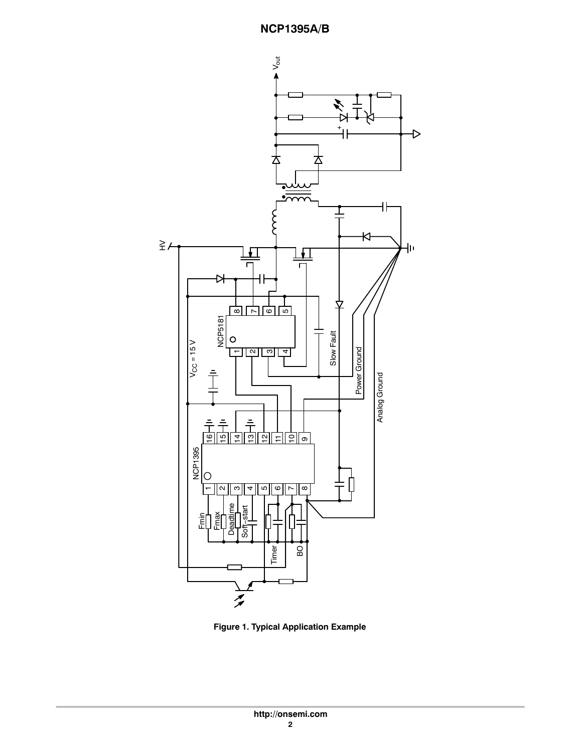

**Figure 1. Typical Application Example**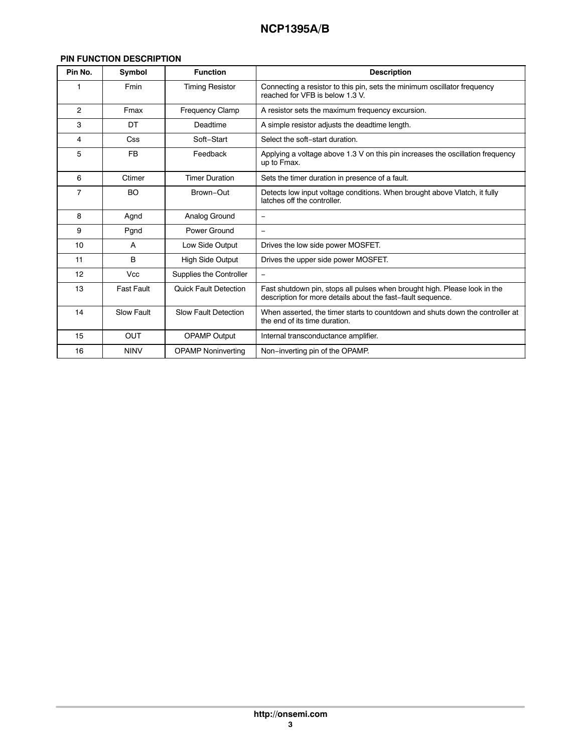### **PIN FUNCTION DESCRIPTION**

| Pin No.        | Symbol            | <b>Function</b>              | <b>Description</b>                                                                                                                       |
|----------------|-------------------|------------------------------|------------------------------------------------------------------------------------------------------------------------------------------|
| 1              | Fmin              | <b>Timing Resistor</b>       | Connecting a resistor to this pin, sets the minimum oscillator frequency<br>reached for VFB is below 1.3 V.                              |
| $\overline{2}$ | Fmax              | <b>Frequency Clamp</b>       | A resistor sets the maximum frequency excursion.                                                                                         |
| 3              | DT                | Deadtime                     | A simple resistor adjusts the deadtime length.                                                                                           |
| 4              | Css               | Soft-Start                   | Select the soft-start duration.                                                                                                          |
| 5              | <b>FB</b>         | Feedback                     | Applying a voltage above 1.3 V on this pin increases the oscillation frequency<br>up to Fmax.                                            |
| 6              | Ctimer            | <b>Timer Duration</b>        | Sets the timer duration in presence of a fault.                                                                                          |
| $\overline{7}$ | <b>BO</b>         | Brown-Out                    | Detects low input voltage conditions. When brought above Vlatch, it fully<br>latches off the controller.                                 |
| 8              | Agnd              | Analog Ground                | $\qquad \qquad =$                                                                                                                        |
| 9              | Pgnd              | Power Ground                 | $\equiv$                                                                                                                                 |
| 10             | A                 | Low Side Output              | Drives the low side power MOSFET.                                                                                                        |
| 11             | B                 | <b>High Side Output</b>      | Drives the upper side power MOSFET.                                                                                                      |
| 12             | <b>Vcc</b>        | Supplies the Controller      | $\qquad \qquad =$                                                                                                                        |
| 13             | <b>Fast Fault</b> | <b>Quick Fault Detection</b> | Fast shutdown pin, stops all pulses when brought high. Please look in the<br>description for more details about the fast-fault sequence. |
| 14             | <b>Slow Fault</b> | <b>Slow Fault Detection</b>  | When asserted, the timer starts to countdown and shuts down the controller at<br>the end of its time duration.                           |
| 15             | <b>OUT</b>        | <b>OPAMP Output</b>          | Internal transconductance amplifier.                                                                                                     |
| 16             | <b>NINV</b>       | <b>OPAMP Noninverting</b>    | Non-inverting pin of the OPAMP.                                                                                                          |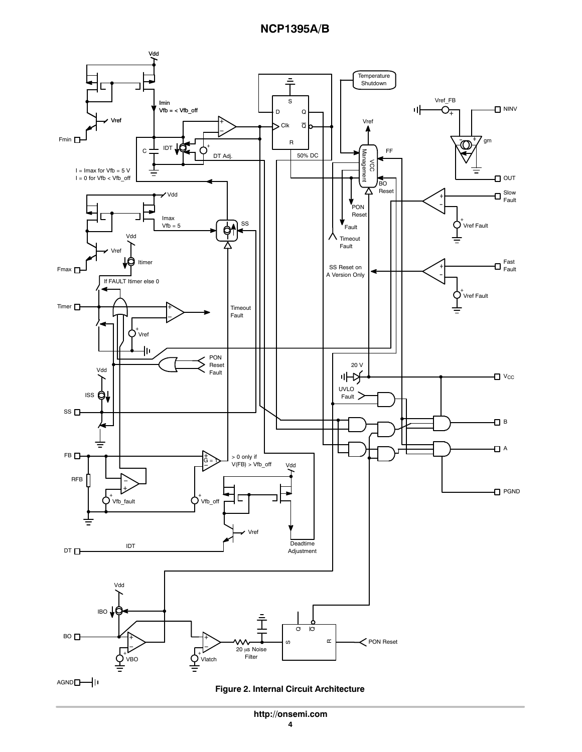

**http://onsemi.com**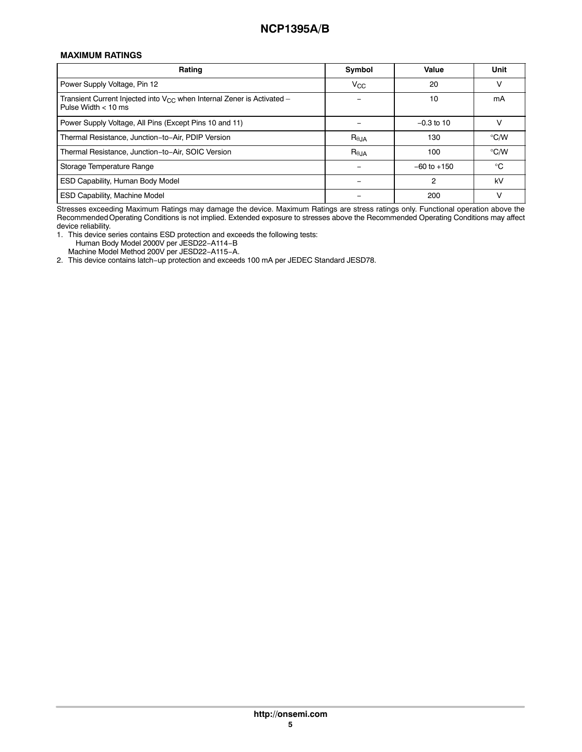### **MAXIMUM RATINGS**

| Rating                                                                                               | Symbol          | Value           | Unit          |
|------------------------------------------------------------------------------------------------------|-----------------|-----------------|---------------|
| Power Supply Voltage, Pin 12                                                                         | $V_{\rm CC}$    | 20              | ν             |
| Transient Current Injected into $V_{CC}$ when Internal Zener is Activated -<br>Pulse Width $< 10$ ms |                 | 10              | mA            |
| Power Supply Voltage, All Pins (Except Pins 10 and 11)                                               |                 | $-0.3$ to 10    |               |
| Thermal Resistance, Junction-to-Air, PDIP Version                                                    | $R_{\theta,JA}$ | 130             | $\degree$ C/W |
| Thermal Resistance, Junction-to-Air, SOIC Version                                                    | $R_{\theta,JA}$ | 100             | $\degree$ C/W |
| Storage Temperature Range                                                                            |                 | $-60$ to $+150$ | $^{\circ}$ C  |
| ESD Capability, Human Body Model                                                                     |                 | 2               | kV            |
| <b>ESD Capability, Machine Model</b>                                                                 |                 | 200             | ν             |

Stresses exceeding Maximum Ratings may damage the device. Maximum Ratings are stress ratings only. Functional operation above the Recommended Operating Conditions is not implied. Extended exposure to stresses above the Recommended Operating Conditions may affect device reliability.

1. This device series contains ESD protection and exceeds the following tests: Human Body Model 2000V per JESD22−A114−B

Machine Model Method 200V per JESD22−A115−A.

2. This device contains latch−up protection and exceeds 100 mA per JEDEC Standard JESD78.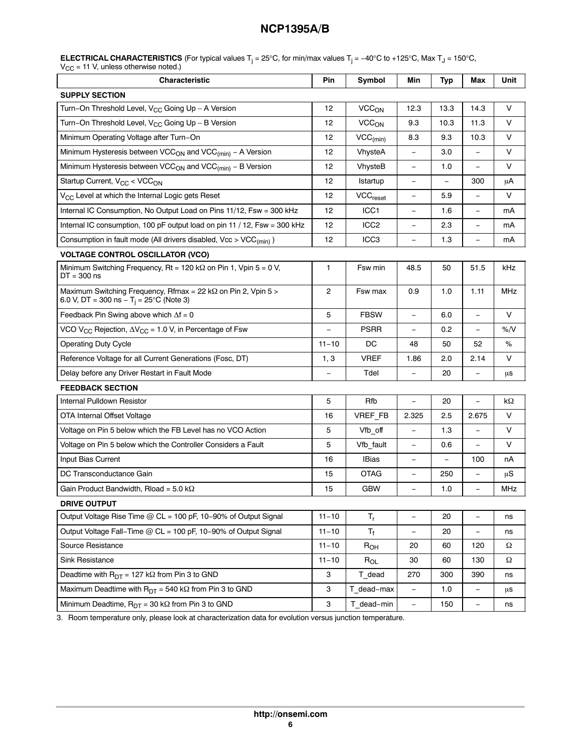**ELECTRICAL CHARACTERISTICS** (For typical values T<sub>j</sub> = 25°C, for min/max values T<sub>j</sub> = −40°C to +125°C, Max T<sub>J</sub> = 150°C,  $\rm V_{CC}$  = 11 V, unless otherwise noted.)

| Characteristic                                                                                                         | Pin            | Symbol                  | Min                      | <b>Typ</b>               | Max                      | Unit       |
|------------------------------------------------------------------------------------------------------------------------|----------------|-------------------------|--------------------------|--------------------------|--------------------------|------------|
| <b>SUPPLY SECTION</b>                                                                                                  |                |                         |                          |                          |                          |            |
| Turn-On Threshold Level, V <sub>CC</sub> Going Up - A Version                                                          | 12             | <b>VCC<sub>ON</sub></b> | 12.3                     | 13.3                     | 14.3                     | V          |
| Turn-On Threshold Level, $V_{CC}$ Going Up - B Version                                                                 | 12             | <b>VCC<sub>ON</sub></b> | 9.3                      | 10.3                     | 11.3                     | V          |
| Minimum Operating Voltage after Turn-On                                                                                | 12             | $VCC_{(min)}$           | 8.3                      | 9.3                      | 10.3                     | V          |
| Minimum Hysteresis between VCC <sub>ON</sub> and VCC <sub>(min)</sub> - A Version                                      | 12             | VhysteA                 | $\qquad \qquad -$        | 3.0                      | $\overline{a}$           | V          |
| Minimum Hysteresis between VCC <sub>ON</sub> and VCC <sub>(min)</sub> - B Version                                      | 12             | VhysteB                 | $\qquad \qquad -$        | 1.0                      | $\overline{\phantom{0}}$ | V          |
| Startup Current, V <sub>CC</sub> < VCC <sub>ON</sub>                                                                   | 12             | Istartup                | $\qquad \qquad -$        | $\overline{\phantom{0}}$ | 300                      | μA         |
| V <sub>CC</sub> Level at which the Internal Logic gets Reset                                                           | 12             | VCC <sub>reset</sub>    | $\qquad \qquad -$        | 5.9                      | $\qquad \qquad -$        | V          |
| Internal IC Consumption, No Output Load on Pins 11/12, Fsw = 300 kHz                                                   | 12             | ICC <sub>1</sub>        | $\overline{\phantom{0}}$ | 1.6                      | $\overline{\phantom{0}}$ | mA         |
| Internal IC consumption, 100 pF output load on pin 11 / 12, Fsw = 300 kHz                                              | 12             | ICC <sub>2</sub>        | $\overline{\phantom{0}}$ | 2.3                      | $\overline{\phantom{0}}$ | mA         |
| Consumption in fault mode (All drivers disabled, Vcc > VCC <sub>(min)</sub> )                                          | 12             | ICC <sub>3</sub>        | $\overline{\phantom{0}}$ | 1.3                      | $\equiv$                 | mA         |
| <b>VOLTAGE CONTROL OSCILLATOR (VCO)</b>                                                                                |                |                         |                          |                          |                          |            |
| Minimum Switching Frequency, Rt = 120 k $\Omega$ on Pin 1, Vpin 5 = 0 V,<br>$DT = 300$ ns                              | 1              | Fsw min                 | 48.5                     | 50                       | 51.5                     | kHz        |
| Maximum Switching Frequency, Rfmax = 22 kΩ on Pin 2, Vpin 5 ><br>6.0 V, DT = 300 ns $-$ T <sub>i</sub> = 25°C (Note 3) | $\overline{2}$ | Fsw max                 | 0.9                      | 1.0                      | 1.11                     | <b>MHz</b> |
| Feedback Pin Swing above which $\Delta f = 0$                                                                          | 5              | <b>FBSW</b>             | $\overline{\phantom{0}}$ | 6.0                      | $\equiv$                 | V          |
| VCO V <sub>CC</sub> Rejection, $\Delta V_{CC}$ = 1.0 V, in Percentage of Fsw                                           |                | <b>PSRR</b>             | $\equiv$                 | 0.2                      | $\equiv$                 | %N         |
| <b>Operating Duty Cycle</b>                                                                                            |                | DC                      | 48                       | 50                       | 52                       | ℅          |
| Reference Voltage for all Current Generations (Fosc, DT)                                                               | 1, 3           | <b>VREF</b>             | 1.86                     | 2.0                      | 2.14                     | V          |
| Delay before any Driver Restart in Fault Mode                                                                          |                | Tdel                    | $\overline{\phantom{0}}$ | 20                       | $\overline{\phantom{0}}$ | μs         |
| <b>FEEDBACK SECTION</b>                                                                                                |                |                         |                          |                          |                          |            |
| Internal Pulldown Resistor                                                                                             | 5              | Rfb                     | $\equiv$                 | 20                       | $\overline{\phantom{0}}$ | kΩ         |
| OTA Internal Offset Voltage                                                                                            | 16             | VREF_FB                 | 2.325                    | 2.5                      | 2.675                    | V          |
| Voltage on Pin 5 below which the FB Level has no VCO Action                                                            | 5              | Vfb_off                 | $\overline{\phantom{0}}$ | 1.3                      | $\equiv$                 | V          |
| Voltage on Pin 5 below which the Controller Considers a Fault                                                          | 5              | Vfb fault               | $\overline{\phantom{0}}$ | 0.6                      |                          | V          |
| Input Bias Current                                                                                                     | 16             | <b>IBias</b>            | $\qquad \qquad -$        | $\qquad \qquad -$        | 100                      | nA         |
| DC Transconductance Gain                                                                                               | 15             | <b>OTAG</b>             | $\qquad \qquad -$        | 250                      | $\overline{\phantom{0}}$ | $\mu$ S    |
| Gain Product Bandwidth, Rload = 5.0 k $\Omega$                                                                         | 15             | <b>GBW</b>              | $\equiv$                 | 1.0                      | $\overline{\phantom{0}}$ | <b>MHz</b> |
| <b>DRIVE OUTPUT</b>                                                                                                    |                |                         |                          |                          |                          |            |
| Output Voltage Rise Time @ CL = 100 pF, 10-90% of Output Signal                                                        | $11 - 10$      | $T_r$                   | $\overline{\phantom{0}}$ | 20                       | $\overline{\phantom{0}}$ | ns         |
| Output Voltage Fall-Time @ CL = 100 pF, 10-90% of Output Signal                                                        | $11 - 10$      | $T_f$                   | $\overline{\phantom{0}}$ | 20                       | $\overline{\phantom{m}}$ | ns         |
| Source Resistance                                                                                                      | $11 - 10$      | R <sub>OH</sub>         | 20                       | 60                       | 120                      | Ω          |
| Sink Resistance                                                                                                        | $11 - 10$      | $R_{OL}$                | 30                       | 60                       | 130                      | Ω          |
| Deadtime with $R_{DT} = 127 k\Omega$ from Pin 3 to GND                                                                 | 3              | T_dead                  | 270                      | 300                      | 390                      | ns         |
| Maximum Deadtime with $R_{DT} = 540 k\Omega$ from Pin 3 to GND                                                         | 3              | T dead-max              | $\qquad \qquad -$        | 1.0                      | $\qquad \qquad -$        | μs         |
| Minimum Deadtime, $R_{DT} = 30 k\Omega$ from Pin 3 to GND                                                              |                | T_dead-min              | $\overline{\phantom{0}}$ | 150                      | $\qquad \qquad -$        | ns         |

3. Room temperature only, please look at characterization data for evolution versus junction temperature.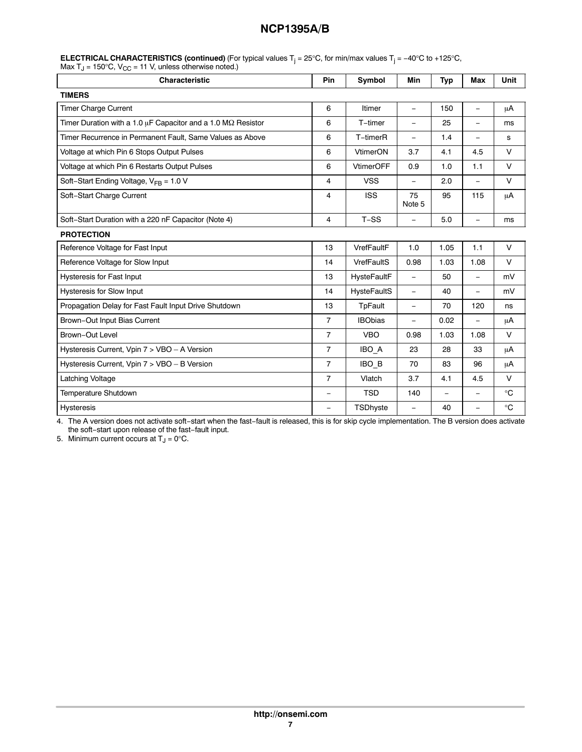| <b>Characteristic</b>                                                     |                          | Symbol             | Min                      | <b>Typ</b>               | <b>Max</b>               | Unit        |
|---------------------------------------------------------------------------|--------------------------|--------------------|--------------------------|--------------------------|--------------------------|-------------|
| <b>TIMERS</b>                                                             |                          |                    |                          |                          |                          |             |
| <b>Timer Charge Current</b>                                               | 6                        | Itimer             | $\equiv$                 | 150                      | $\qquad \qquad -$        | μA          |
| Timer Duration with a 1.0 $\mu$ F Capacitor and a 1.0 M $\Omega$ Resistor | 6                        | T-timer            | $\overline{\phantom{m}}$ | 25                       | $\overline{\phantom{0}}$ | ms          |
| Timer Recurrence in Permanent Fault, Same Values as Above                 | 6                        | T-timerR           | $\equiv$                 | 1.4                      | $\qquad \qquad -$        | s           |
| Voltage at which Pin 6 Stops Output Pulses                                | 6                        | VtimerON           | 3.7                      | 4.1                      | 4.5                      | $\vee$      |
| Voltage at which Pin 6 Restarts Output Pulses                             | 6                        | <b>VtimerOFF</b>   | 0.9                      | 1.0                      | 1.1                      | V           |
| Soft-Start Ending Voltage, $V_{FB} = 1.0 V$                               | 4                        | <b>VSS</b>         |                          | 2.0                      | $\equiv$                 | V           |
| Soft-Start Charge Current                                                 | 4                        | <b>ISS</b>         | 75<br>Note 5             | 95                       | 115                      | μA          |
| Soft-Start Duration with a 220 nF Capacitor (Note 4)                      | 4                        | $T-SS$             |                          | 5.0                      | $\qquad \qquad =$        | ms          |
| <b>PROTECTION</b>                                                         |                          |                    |                          |                          |                          |             |
| Reference Voltage for Fast Input                                          | 13                       | VrefFaultF         | 1.0                      | 1.05                     | 1.1                      | $\vee$      |
| Reference Voltage for Slow Input                                          | 14                       | VrefFaultS         | 0.98                     | 1.03                     | 1.08                     | $\vee$      |
| <b>Hysteresis for Fast Input</b>                                          | 13                       | <b>HysteFaultF</b> | $\equiv$                 | 50                       | $\equiv$                 | mV          |
| Hysteresis for Slow Input                                                 | 14                       | <b>HysteFaultS</b> | $\equiv$                 | 40                       | $\equiv$                 | mV          |
| Propagation Delay for Fast Fault Input Drive Shutdown                     | 13                       | <b>TpFault</b>     | $\equiv$                 | 70                       | 120                      | ns          |
| Brown-Out Input Bias Current                                              | $\overline{7}$           | <b>IBObias</b>     | $\overline{\phantom{m}}$ | 0.02                     | $\equiv$                 | μA          |
| Brown-Out Level                                                           | $\overline{7}$           | <b>VBO</b>         | 0.98                     | 1.03                     | 1.08                     | $\vee$      |
| Hysteresis Current, Vpin 7 > VBO - A Version                              | $\overline{7}$           | IBO A              | 23                       | 28                       | 33                       | μA          |
| Hysteresis Current, Vpin 7 > VBO - B Version                              | $\overline{7}$           | IBO B              | 70                       | 83                       | 96                       | μA          |
| Latching Voltage                                                          | $\overline{7}$           | Vlatch             | 3.7                      | 4.1                      | 4.5                      | $\vee$      |
| Temperature Shutdown                                                      | $\overline{\phantom{0}}$ | <b>TSD</b>         | 140                      | $\overline{\phantom{0}}$ | $\qquad \qquad -$        | $^{\circ}C$ |
| <b>Hysteresis</b>                                                         | -                        | TSDhyste           | $\overline{\phantom{0}}$ | 40                       | $\overline{\phantom{0}}$ | $^{\circ}C$ |

|                                                                                        | <b>ELECTRICAL CHARACTERISTICS (continued)</b> (For typical values $T_i = 25^{\circ}$ C, for min/max values $T_i = -40^{\circ}$ C to +125°C, |
|----------------------------------------------------------------------------------------|---------------------------------------------------------------------------------------------------------------------------------------------|
| Max T <sub>J</sub> = 150 $\degree$ C, V <sub>CC</sub> = 11 V, unless otherwise noted.) |                                                                                                                                             |

4. The A version does not activate soft−start when the fast−fault is released, this is for skip cycle implementation. The B version does activate the soft−start upon release of the fast−fault input.

5. Minimum current occurs at  $T_J = 0$ °C.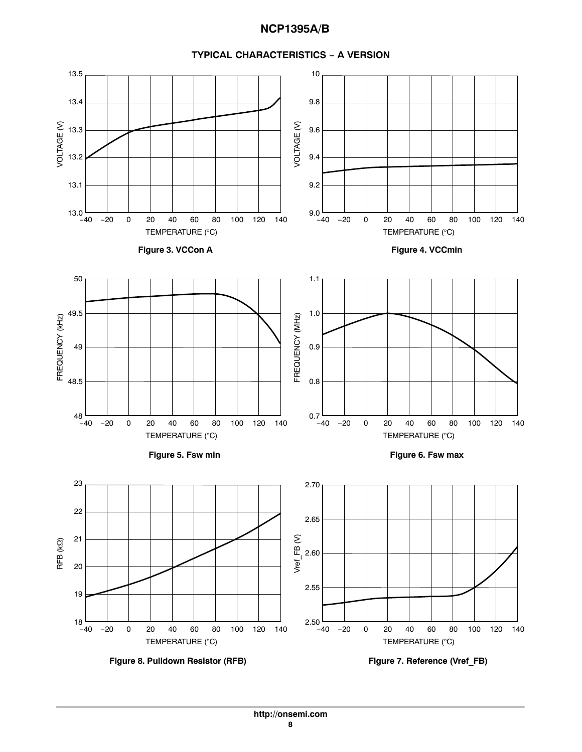



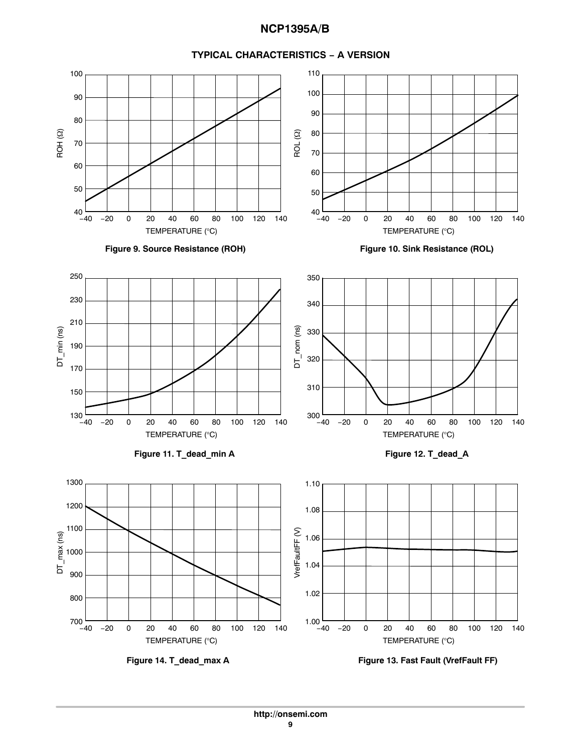

#### **TYPICAL CHARACTERISTICS − A VERSION**



**Figure 14. T\_dead\_max A Figure 13. Fast Fault (VrefFault FF)**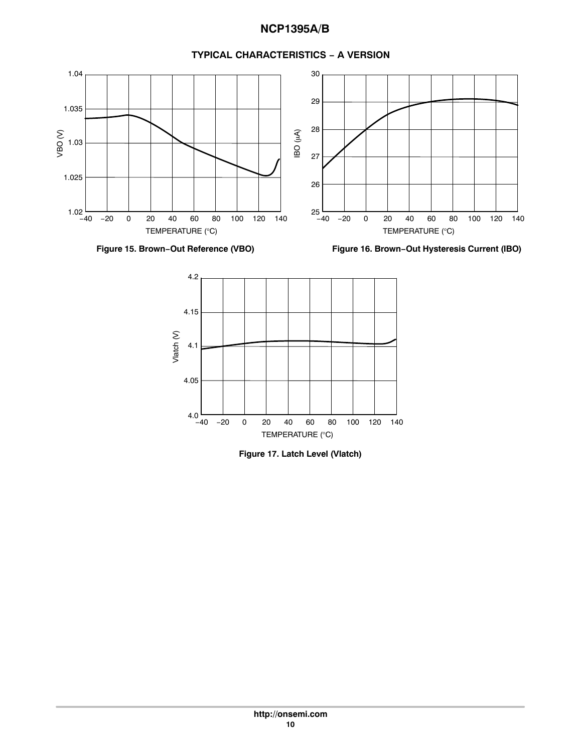

### **TYPICAL CHARACTERISTICS − A VERSION**

**Figure 17. Latch Level (Vlatch)**

TEMPERATURE (°C)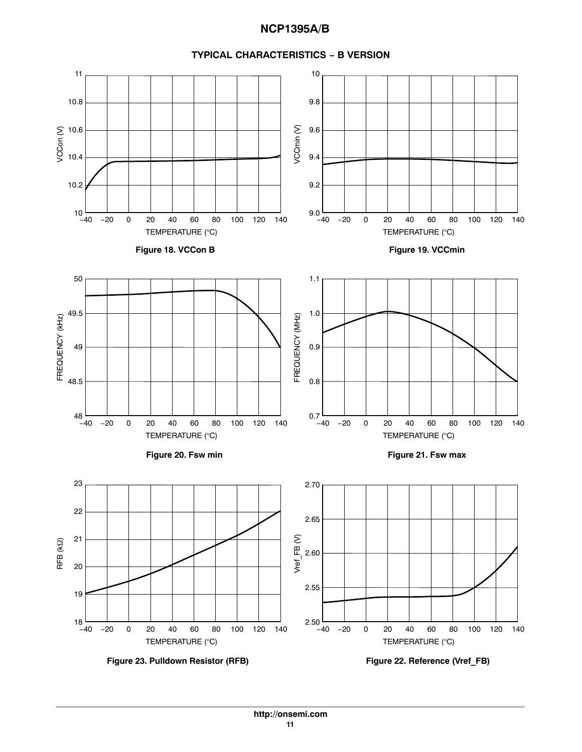

#### **TYPICAL CHARACTERISTICS − B VERSION**

**Figure 23. Pulldown Resistor (RFB) Figure 22. Reference (Vref\_FB)**

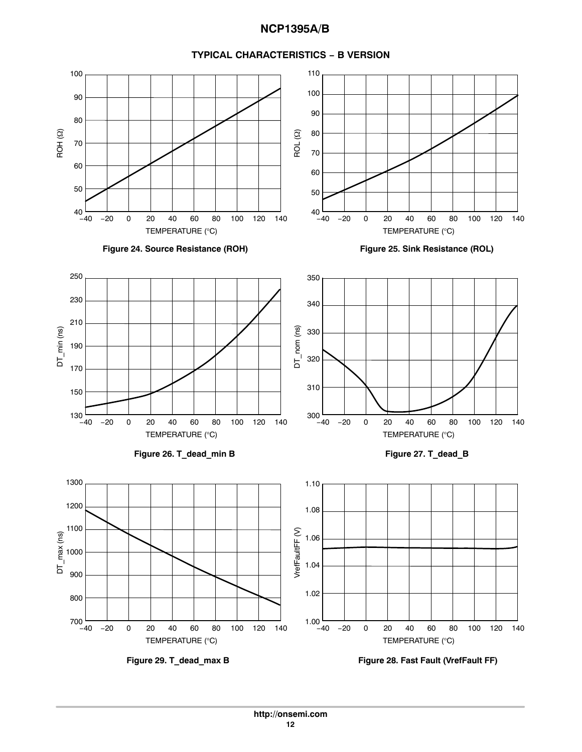

#### **TYPICAL CHARACTERISTICS − B VERSION**

**Figure 29. T\_dead\_max B Figure 28. Fast Fault (VrefFault FF)**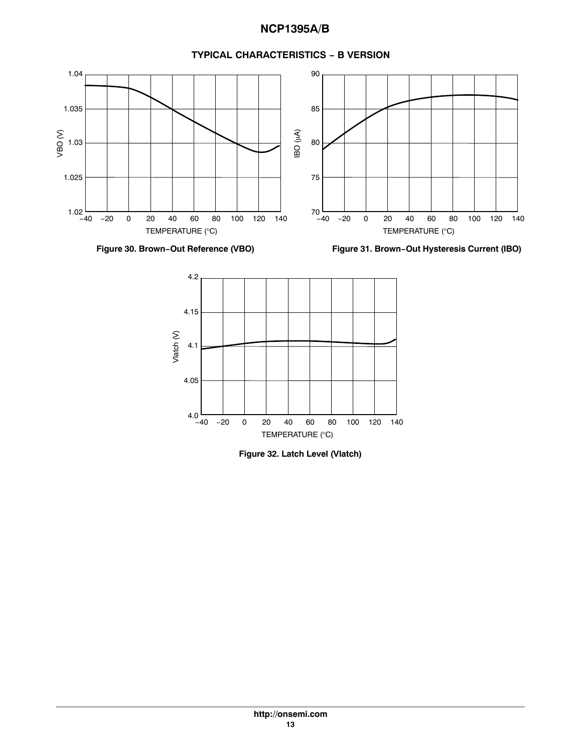## **Figure 30. Brown−Out Reference (VBO) Figure 31. Brown−Out Hysteresis Current (IBO)**  $1.02$   $-40$   $-20$  0 20 40 60 80 1.025 1.03 1.035 1.04 VBO (V) TEMPERATURE (°C) −20 0 20 40 60 80 100 120 140  $4.0 -40$ 4.05 4.1 4.15 4.2 −40 20 80 Vlatch (V) −20 40 100 0 60 120 140  $70 -40$ 75 80 85 90 −40 20 80 (An) OBI TEMPERATURE (°C) −20 40 100 0 60 120 140

### **TYPICAL CHARACTERISTICS − B VERSION**



TEMPERATURE (°C)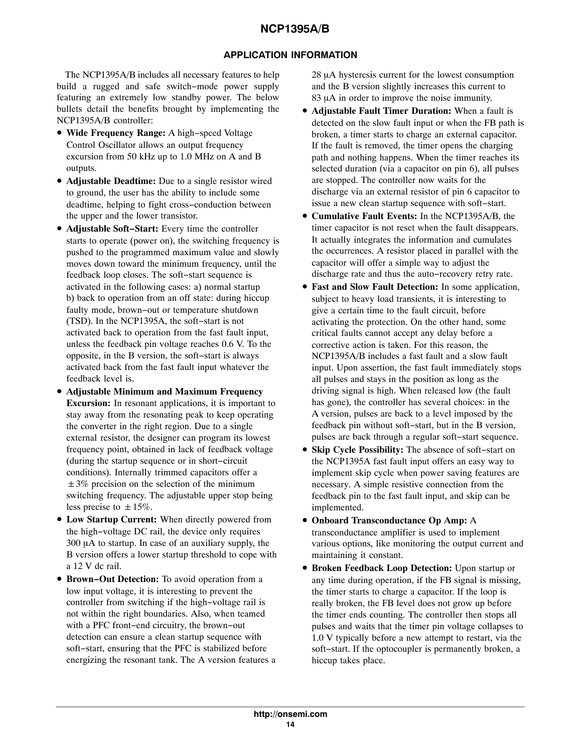### **APPLICATION INFORMATION**

The NCP1395A/B includes all necessary features to help build a rugged and safe switch−mode power supply featuring an extremely low standby power. The below bullets detail the benefits brought by implementing the NCP1395A/B controller:

- **Wide Frequency Range:** A high−speed Voltage Control Oscillator allows an output frequency excursion from 50 kHz up to 1.0 MHz on A and B outputs.
- **Adjustable Deadtime:** Due to a single resistor wired to ground, the user has the ability to include some deadtime, helping to fight cross−conduction between the upper and the lower transistor.
- **Adjustable Soft−Start:** Every time the controller starts to operate (power on), the switching frequency is pushed to the programmed maximum value and slowly moves down toward the minimum frequency, until the feedback loop closes. The soft−start sequence is activated in the following cases: a) normal startup b) back to operation from an off state: during hiccup faulty mode, brown−out or temperature shutdown (TSD). In the NCP1395A, the soft−start is not activated back to operation from the fast fault input, unless the feedback pin voltage reaches 0.6 V. To the opposite, in the B version, the soft−start is always activated back from the fast fault input whatever the feedback level is.
- **Adjustable Minimum and Maximum Frequency Excursion:** In resonant applications, it is important to stay away from the resonating peak to keep operating the converter in the right region. Due to a single external resistor, the designer can program its lowest frequency point, obtained in lack of feedback voltage (during the startup sequence or in short−circuit conditions). Internally trimmed capacitors offer a  $\pm 3\%$  precision on the selection of the minimum switching frequency. The adjustable upper stop being less precise to  $\pm 15\%$ .
- **Low Startup Current:** When directly powered from the high−voltage DC rail, the device only requires 300 µA to startup. In case of an auxiliary supply, the B version offers a lower startup threshold to cope with a 12 V dc rail.
- **Brown−Out Detection:** To avoid operation from a low input voltage, it is interesting to prevent the controller from switching if the high−voltage rail is not within the right boundaries. Also, when teamed with a PFC front−end circuitry, the brown−out detection can ensure a clean startup sequence with soft−start, ensuring that the PFC is stabilized before energizing the resonant tank. The A version features a

28 µA hysteresis current for the lowest consumption and the B version slightly increases this current to 83 µA in order to improve the noise immunity.

- **Adjustable Fault Timer Duration:** When a fault is detected on the slow fault input or when the FB path is broken, a timer starts to charge an external capacitor. If the fault is removed, the timer opens the charging path and nothing happens. When the timer reaches its selected duration (via a capacitor on pin 6), all pulses are stopped. The controller now waits for the discharge via an external resistor of pin 6 capacitor to issue a new clean startup sequence with soft−start.
- **Cumulative Fault Events:** In the NCP1395A/B, the timer capacitor is not reset when the fault disappears. It actually integrates the information and cumulates the occurrences. A resistor placed in parallel with the capacitor will offer a simple way to adjust the discharge rate and thus the auto−recovery retry rate.
- **Fast and Slow Fault Detection:** In some application, subject to heavy load transients, it is interesting to give a certain time to the fault circuit, before activating the protection. On the other hand, some critical faults cannot accept any delay before a corrective action is taken. For this reason, the NCP1395A/B includes a fast fault and a slow fault input. Upon assertion, the fast fault immediately stops all pulses and stays in the position as long as the driving signal is high. When released low (the fault has gone), the controller has several choices: in the A version, pulses are back to a level imposed by the feedback pin without soft−start, but in the B version, pulses are back through a regular soft−start sequence.
- **Skip Cycle Possibility:** The absence of soft−start on the NCP1395A fast fault input offers an easy way to implement skip cycle when power saving features are necessary. A simple resistive connection from the feedback pin to the fast fault input, and skip can be implemented.
- **Onboard Transconductance Op Amp:** A transconductance amplifier is used to implement various options, like monitoring the output current and maintaining it constant.
- **Broken Feedback Loop Detection:** Upon startup or any time during operation, if the FB signal is missing, the timer starts to charge a capacitor. If the loop is really broken, the FB level does not grow up before the timer ends counting. The controller then stops all pulses and waits that the timer pin voltage collapses to 1.0 V typically before a new attempt to restart, via the soft−start. If the optocoupler is permanently broken, a hiccup takes place.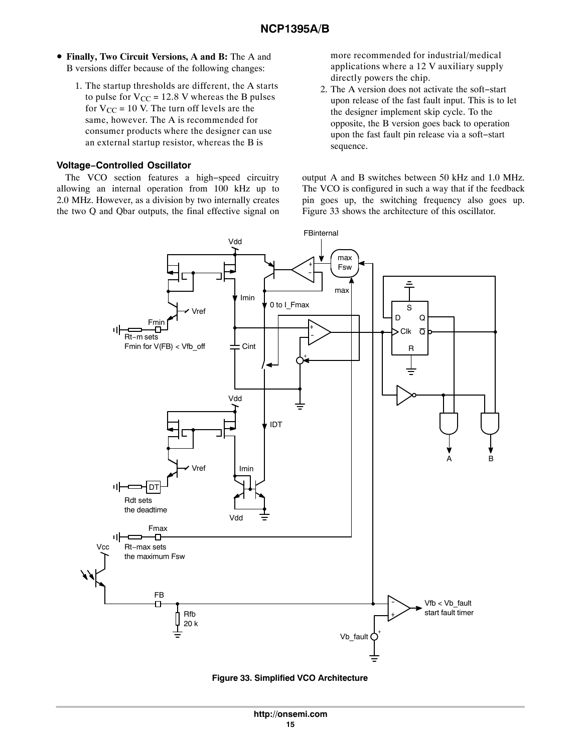- <span id="page-14-0"></span>• **Finally, Two Circuit Versions, A and B:** The A and B versions differ because of the following changes:
	- 1. The startup thresholds are different, the A starts to pulse for  $V_{CC}$  = 12.8 V whereas the B pulses for  $V_{CC}$  = 10 V. The turn off levels are the same, however. The A is recommended for consumer products where the designer can use an external startup resistor, whereas the B is

#### **Voltage−Controlled Oscillator**

The VCO section features a high−speed circuitry allowing an internal operation from 100 kHz up to 2.0 MHz. However, as a division by two internally creates the two Q and Qbar outputs, the final effective signal on

more recommended for industrial/medical applications where a 12 V auxiliary supply directly powers the chip.

2. The A version does not activate the soft−start upon release of the fast fault input. This is to let the designer implement skip cycle. To the opposite, the B version goes back to operation upon the fast fault pin release via a soft−start sequence.

output A and B switches between 50 kHz and 1.0 MHz. The VCO is configured in such a way that if the feedback pin goes up, the switching frequency also goes up. Figure 33 shows the architecture of this oscillator.



**Figure 33. Simplified VCO Architecture**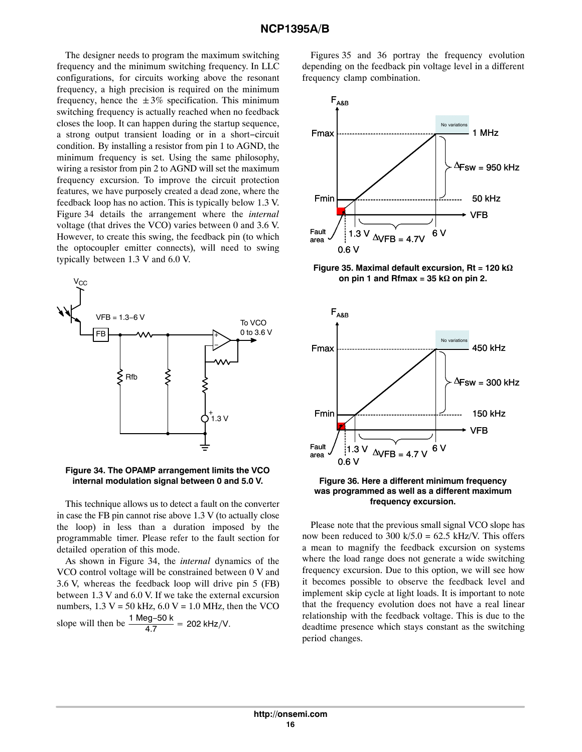The designer needs to program the maximum switching frequency and the minimum switching frequency. In LLC configurations, for circuits working above the resonant frequency, a high precision is required on the minimum frequency, hence the  $\pm 3\%$  specification. This minimum switching frequency is actually reached when no feedback closes the loop. It can happen during the startup sequence, a strong output transient loading or in a short−circuit condition. By installing a resistor from pin 1 to AGND, the minimum frequency is set. Using the same philosophy, wiring a resistor from pin 2 to AGND will set the maximum frequency excursion. To improve the circuit protection features, we have purposely created a dead zone, where the feedback loop has no action. This is typically below 1.3 V. Figure 34 details the arrangement where the *internal* voltage (that drives the VCO) varies between 0 and 3.6 V. However, to create this swing, the feedback pin (to which the optocoupler emitter connects), will need to swing typically between 1.3 V and 6.0 V.



#### **Figure 34. The OPAMP arrangement limits the VCO internal modulation signal between 0 and 5.0 V.**

This technique allows us to detect a fault on the converter in case the FB pin cannot rise above  $1.3$  V (to actually close the loop) in less than a duration imposed by the programmable timer. Please refer to the fault section for detailed operation of this mode.

As shown in Figure 34, the *internal* dynamics of the VCO control voltage will be constrained between 0 V and 3.6 V, whereas the feedback loop will drive pin 5 (FB) between 1.3 V and 6.0 V. If we take the external excursion numbers,  $1.3 V = 50$  kHz,  $6.0 V = 1.0$  MHz, then the VCO slope will then be  $\frac{1 \text{ Meg}-50 \text{ k}}{4.7}$  = 202 kHz/V.

Figures 35 and 36 portray the frequency evolution depending on the feedback pin voltage level in a different frequency clamp combination.



Figure 35. Maximal default excursion, Rt = 120 k $\Omega$ on pin 1 and  $Rfmax = 35 k\Omega$  on pin 2.



#### **Figure 36. Here a different minimum frequency was programmed as well as a different maximum frequency excursion.**

Please note that the previous small signal VCO slope has now been reduced to 300 k/5.0 = 62.5 kHz/V. This offers a mean to magnify the feedback excursion on systems where the load range does not generate a wide switching frequency excursion. Due to this option, we will see how it becomes possible to observe the feedback level and implement skip cycle at light loads. It is important to note that the frequency evolution does not have a real linear relationship with the feedback voltage. This is due to the deadtime presence which stays constant as the switching period changes.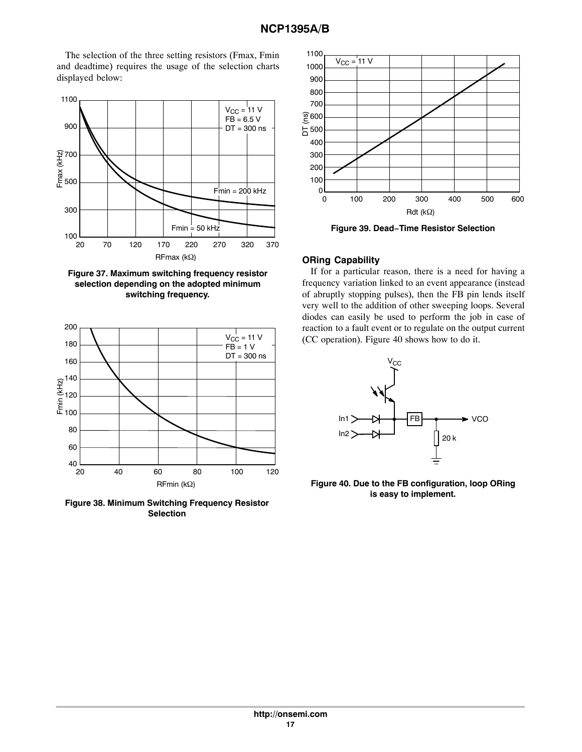The selection of the three setting resistors (Fmax, Fmin and deadtime) requires the usage of the selection charts displayed below:



**Figure 37. Maximum switching frequency resistor selection depending on the adopted minimum switching frequency.**



**Figure 38. Minimum Switching Frequency Resistor Selection**



**Figure 39. Dead−Time Resistor Selection**

### **ORing Capability**

If for a particular reason, there is a need for having a frequency variation linked to an event appearance (instead of abruptly stopping pulses), then the FB pin lends itself very well to the addition of other sweeping loops. Several diodes can easily be used to perform the job in case of reaction to a fault event or to regulate on the output current (CC operation). Figure 40 shows how to do it.



**Figure 40. Due to the FB configuration, loop ORing is easy to implement.**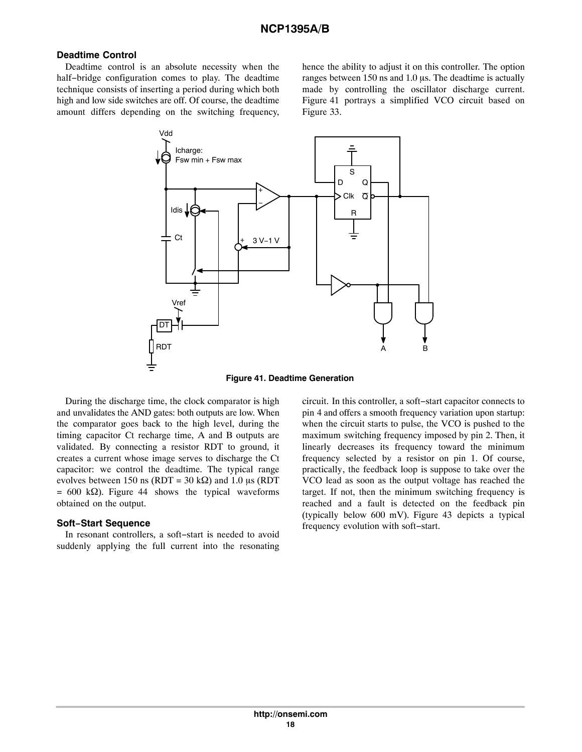#### **Deadtime Control**

Deadtime control is an absolute necessity when the half−bridge configuration comes to play. The deadtime technique consists of inserting a period during which both high and low side switches are off. Of course, the deadtime amount differs depending on the switching frequency,

hence the ability to adjust it on this controller. The option ranges between 150 ns and 1.0 µs. The deadtime is actually made by controlling the oscillator discharge current. Figure 41 portrays a simplified VCO circuit based on Figure [33](#page-14-0).



**Figure 41. Deadtime Generation**

During the discharge time, the clock comparator is high and unvalidates the AND gates: both outputs are low. When the comparator goes back to the high level, during the timing capacitor Ct recharge time, A and B outputs are validated. By connecting a resistor RDT to ground, it creates a current whose image serves to discharge the Ct capacitor: we control the deadtime. The typical range evolves between 150 ns (RDT = 30 k $\Omega$ ) and 1.0 µs (RDT  $= 600 \text{ k}\Omega$ ). Figure [44](#page-19-0) shows the typical waveforms obtained on the output.

#### **Soft−Start Sequence**

In resonant controllers, a soft−start is needed to avoid suddenly applying the full current into the resonating circuit. In this controller, a soft−start capacitor connects to pin 4 and offers a smooth frequency variation upon startup: when the circuit starts to pulse, the VCO is pushed to the maximum switching frequency imposed by pin 2. Then, it linearly decreases its frequency toward the minimum frequency selected by a resistor on pin 1. Of course, practically, the feedback loop is suppose to take over the VCO lead as soon as the output voltage has reached the target. If not, then the minimum switching frequency is reached and a fault is detected on the feedback pin (typically below 600 mV). Figure [43](#page-18-0) depicts a typical frequency evolution with soft−start.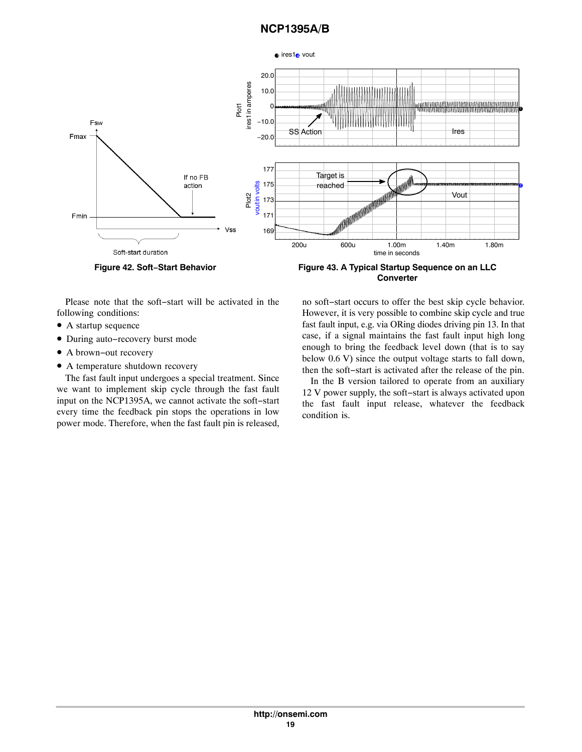<span id="page-18-0"></span>

**Figure 42. Soft−Start Behavior Figure 43. A Typical Startup Sequence on an LLC Converter**

Please note that the soft−start will be activated in the following conditions:

- A startup sequence
- During auto−recovery burst mode
- A brown−out recovery
- A temperature shutdown recovery

The fast fault input undergoes a special treatment. Since we want to implement skip cycle through the fast fault input on the NCP1395A, we cannot activate the soft−start every time the feedback pin stops the operations in low power mode. Therefore, when the fast fault pin is released,

no soft−start occurs to offer the best skip cycle behavior. However, it is very possible to combine skip cycle and true fast fault input, e.g. via ORing diodes driving pin 13. In that case, if a signal maintains the fast fault input high long enough to bring the feedback level down (that is to say below 0.6 V) since the output voltage starts to fall down, then the soft−start is activated after the release of the pin.

In the B version tailored to operate from an auxiliary 12 V power supply, the soft−start is always activated upon the fast fault input release, whatever the feedback condition is.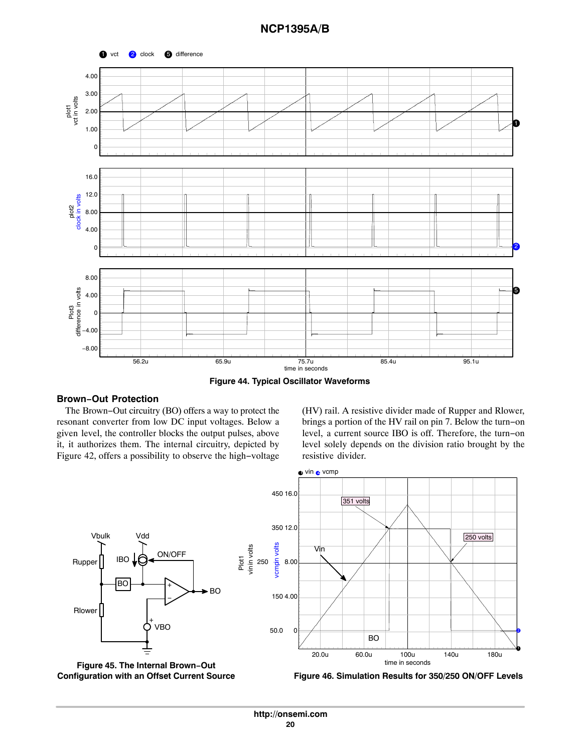<span id="page-19-0"></span>

**Figure 44. Typical Oscillator Waveforms**

### **Brown−Out Protection**

The Brown−Out circuitry (BO) offers a way to protect the resonant converter from low DC input voltages. Below a given level, the controller blocks the output pulses, above it, it authorizes them. The internal circuitry, depicted by Figure [42,](#page-18-0) offers a possibility to observe the high−voltage

(HV) rail. A resistive divider made of Rupper and Rlower, brings a portion of the HV rail on pin 7. Below the turn−on level, a current source IBO is off. Therefore, the turn−on level solely depends on the division ratio brought by the resistive divider.





**Figure 46. Simulation Results for 350/250 ON/OFF Levels**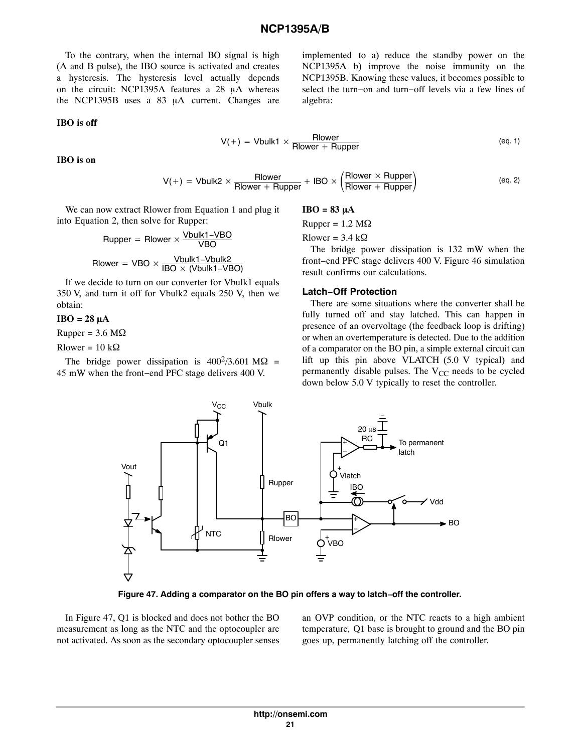To the contrary, when the internal BO signal is high (A and B pulse), the IBO source is activated and creates a hysteresis. The hysteresis level actually depends on the circuit: NCP1395A features a  $28$   $\mu$ A whereas the NCP1395B uses a  $83$   $\mu$ A current. Changes are

#### **IBO is off**

implemented to a) reduce the standby power on the NCP1395A b) improve the noise immunity on the NCP1395B. Knowing these values, it becomes possible to select the turn−on and turn−off levels via a few lines of algebra:

$$
V(+) = Vbulk1 \times \frac{Rlower}{Rlower + Rupper}
$$
 (eq. 1)

**IBO is on**

$$
V(+) = Vbulk2 \times \frac{Rlower}{Rlower + Rupper} + IBO \times \left(\frac{Rlower \times Rupper}{Rlower + Rupper}\right)
$$
 (eq. 2)

We can now extract Rlower from Equation 1 and plug it into Equation 2, then solve for Rupper:

\n
$$
\text{Rupper} = \text{Rlower} \times \frac{\text{Vbulk1-VBO}}{\text{VBO}}
$$
\n

\n\n $\text{Rlower} = \text{VBO} \times \frac{\text{Vbulk1-Vbulk2}}{\text{IBO} \times (\text{Vbulk1-VBO})}$ \n

If we decide to turn on our converter for Vbulk1 equals 350 V, and turn it off for Vbulk2 equals 250 V, then we obtain:

#### $IBO = 28 \mu A$

 $Rupper = 3.6 M\Omega$ 

Rlower =  $10 \text{ k}\Omega$ 

The bridge power dissipation is  $400^2/3.601 \text{ M}\Omega$  = 45 mW when the front−end PFC stage delivers 400 V.

$$
IBO = 83 \mu A
$$

 $Rupper = 1.2 MΩ$ 

Rlower =  $3.4 \text{ k}\Omega$ 

The bridge power dissipation is 132 mW when the front−end PFC stage delivers 400 V. Figure [46](#page-19-0) simulation result confirms our calculations.

#### **Latch−Off Protection**

There are some situations where the converter shall be fully turned off and stay latched. This can happen in presence of an overvoltage (the feedback loop is drifting) or when an overtemperature is detected. Due to the addition of a comparator on the BO pin, a simple external circuit can lift up this pin above VLATCH (5.0 V typical) and permanently disable pulses. The  $V_{CC}$  needs to be cycled down below 5.0 V typically to reset the controller.



**Figure 47. Adding a comparator on the BO pin offers a way to latch−off the controller.**

In Figure 47, Q1 is blocked and does not bother the BO measurement as long as the NTC and the optocoupler are not activated. As soon as the secondary optocoupler senses an OVP condition, or the NTC reacts to a high ambient temperature, Q1 base is brought to ground and the BO pin goes up, permanently latching off the controller.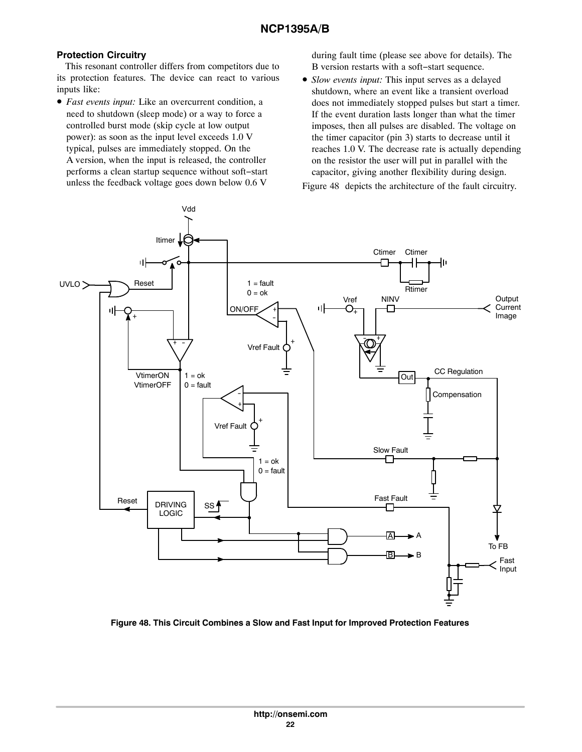### **Protection Circuitry**

This resonant controller differs from competitors due to its protection features. The device can react to various inputs like:

• *Fast events input:* Like an overcurrent condition, a need to shutdown (sleep mode) or a way to force a controlled burst mode (skip cycle at low output power): as soon as the input level exceeds 1.0 V typical, pulses are immediately stopped. On the A version, when the input is released, the controller performs a clean startup sequence without soft−start unless the feedback voltage goes down below 0.6 V

during fault time (please see above for details). The B version restarts with a soft−start sequence.

• *Slow events input:* This input serves as a delayed shutdown, where an event like a transient overload does not immediately stopped pulses but start a timer. If the event duration lasts longer than what the timer imposes, then all pulses are disabled. The voltage on the timer capacitor (pin 3) starts to decrease until it reaches 1.0 V. The decrease rate is actually depending on the resistor the user will put in parallel with the capacitor, giving another flexibility during design.

Figure 48 depicts the architecture of the fault circuitry.



**Figure 48. This Circuit Combines a Slow and Fast Input for Improved Protection Features**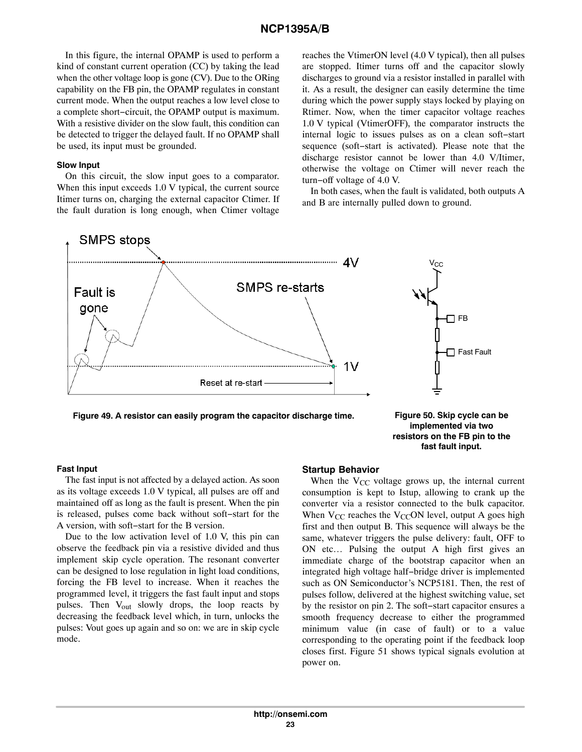In this figure, the internal OPAMP is used to perform a kind of constant current operation (CC) by taking the lead when the other voltage loop is gone (CV). Due to the ORing capability on the FB pin, the OPAMP regulates in constant current mode. When the output reaches a low level close to a complete short−circuit, the OPAMP output is maximum. With a resistive divider on the slow fault, this condition can be detected to trigger the delayed fault. If no OPAMP shall be used, its input must be grounded.

#### **Slow Input**

On this circuit, the slow input goes to a comparator. When this input exceeds 1.0 V typical, the current source Itimer turns on, charging the external capacitor Ctimer. If the fault duration is long enough, when Ctimer voltage reaches the VtimerON level (4.0 V typical), then all pulses are stopped. Itimer turns off and the capacitor slowly discharges to ground via a resistor installed in parallel with it. As a result, the designer can easily determine the time during which the power supply stays locked by playing on Rtimer. Now, when the timer capacitor voltage reaches 1.0 V typical (VtimerOFF), the comparator instructs the internal logic to issues pulses as on a clean soft−start sequence (soft−start is activated). Please note that the discharge resistor cannot be lower than 4.0 V/Itimer, otherwise the voltage on Ctimer will never reach the turn−off voltage of 4.0 V.

In both cases, when the fault is validated, both outputs A and B are internally pulled down to ground.



**Figure 49. A resistor can easily program the capacitor discharge time. Figure 50. Skip cycle can be**

**implemented via two resistors on the FB pin to the fast fault input.**

#### **Fast Input**

The fast input is not affected by a delayed action. As soon as its voltage exceeds 1.0 V typical, all pulses are off and maintained off as long as the fault is present. When the pin is released, pulses come back without soft−start for the A version, with soft−start for the B version.

Due to the low activation level of 1.0 V, this pin can observe the feedback pin via a resistive divided and thus implement skip cycle operation. The resonant converter can be designed to lose regulation in light load conditions, forcing the FB level to increase. When it reaches the programmed level, it triggers the fast fault input and stops pulses. Then V<sub>out</sub> slowly drops, the loop reacts by decreasing the feedback level which, in turn, unlocks the pulses: Vout goes up again and so on: we are in skip cycle mode.

### **Startup Behavior**

When the  $V_{CC}$  voltage grows up, the internal current consumption is kept to Istup, allowing to crank up the converter via a resistor connected to the bulk capacitor. When  $V_{CC}$  reaches the  $V_{CC}$ ON level, output A goes high first and then output B. This sequence will always be the same, whatever triggers the pulse delivery: fault, OFF to ON etc… Pulsing the output A high first gives an immediate charge of the bootstrap capacitor when an integrated high voltage half−bridge driver is implemented such as ON Semiconductor's NCP5181. Then, the rest of pulses follow, delivered at the highest switching value, set by the resistor on pin 2. The soft−start capacitor ensures a smooth frequency decrease to either the programmed minimum value (in case of fault) or to a value corresponding to the operating point if the feedback loop closes first. Figure [51](#page-23-0) shows typical signals evolution at power on.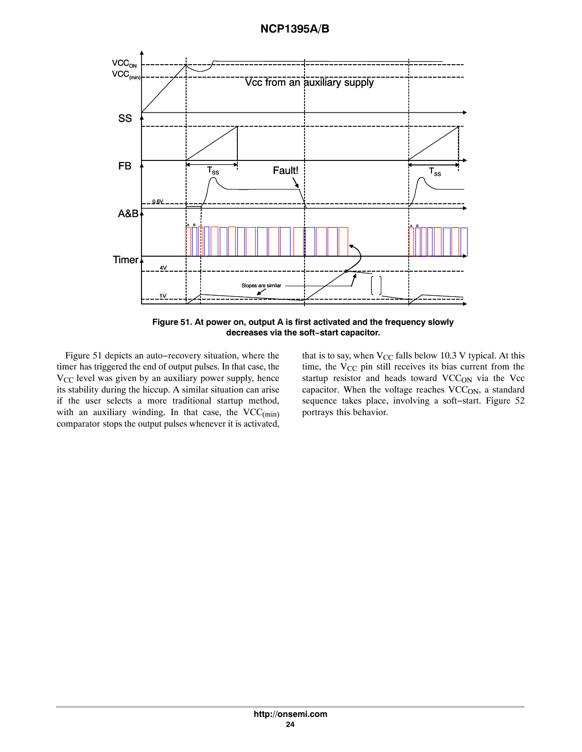<span id="page-23-0"></span>

**Figure 51. At power on, output A is first activated and the frequency slowly decreases via the soft−start capacitor.**

Figure 51 depicts an auto−recovery situation, where the timer has triggered the end of output pulses. In that case, the  $V_{CC}$  level was given by an auxiliary power supply, hence its stability during the hiccup. A similar situation can arise if the user selects a more traditional startup method, with an auxiliary winding. In that case, the  $VCC_{(min)}$ comparator stops the output pulses whenever it is activated, that is to say, when  $V_{CC}$  falls below 10.3 V typical. At this time, the  $V_{CC}$  pin still receives its bias current from the startup resistor and heads toward VCC<sub>ON</sub> via the Vcc capacitor. When the voltage reaches  $VCC<sub>ON</sub>$ , a standard sequence takes place, involving a soft−start. Figure [52](#page-24-0) portrays this behavior.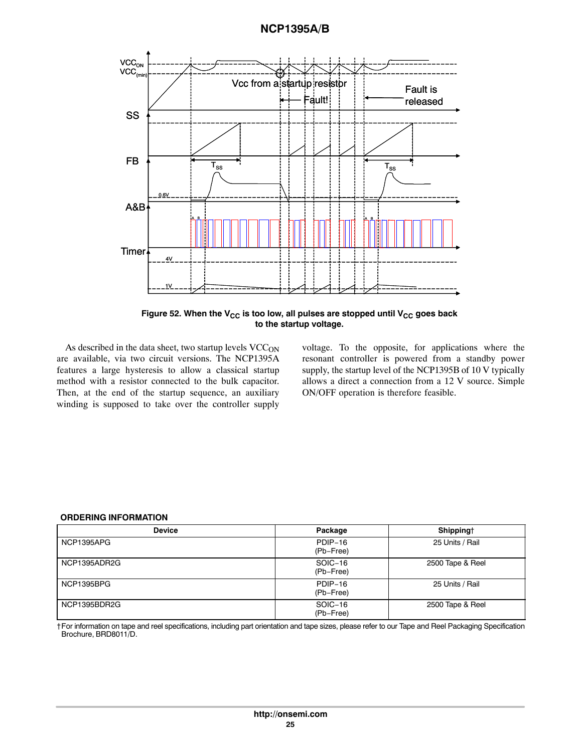<span id="page-24-0"></span>

Figure 52. When the V<sub>CC</sub> is too low, all pulses are stopped until V<sub>CC</sub> goes back **to the startup voltage.**

As described in the data sheet, two startup levels  $VCC<sub>ON</sub>$ are available, via two circuit versions. The NCP1395A features a large hysteresis to allow a classical startup method with a resistor connected to the bulk capacitor. Then, at the end of the startup sequence, an auxiliary winding is supposed to take over the controller supply voltage. To the opposite, for applications where the resonant controller is powered from a standby power supply, the startup level of the NCP1395B of 10 V typically allows a direct a connection from a 12 V source. Simple ON/OFF operation is therefore feasible.

#### **ORDERING INFORMATION**

| <b>Device</b>     | Package              | Shipping†        |
|-------------------|----------------------|------------------|
| <b>NCP1395APG</b> | PDIP-16<br>(Pb-Free) | 25 Units / Rail  |
| NCP1395ADR2G      | SOIC-16<br>(Pb-Free) | 2500 Tape & Reel |
| <b>NCP1395BPG</b> | PDIP-16<br>(Pb-Free) | 25 Units / Rail  |
| NCP1395BDR2G      | SOIC-16<br>(Pb-Free) | 2500 Tape & Reel |

†For information on tape and reel specifications, including part orientation and tape sizes, please refer to our Tape and Reel Packaging Specification Brochure, BRD8011/D.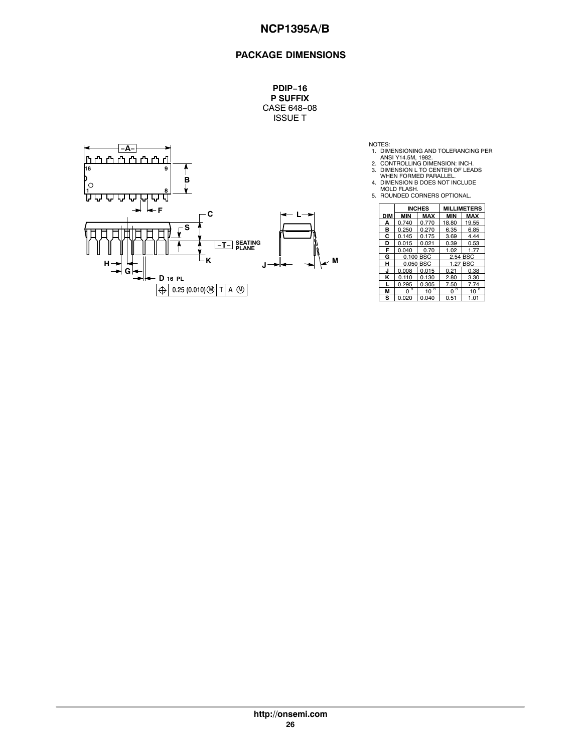### **PACKAGE DIMENSIONS**

**PDIP−16 P SUFFIX** CASE 648−08 ISSUE T



- NOTES:<br>
1. DIMENSIONING AND TOLERANCING PER<br>
2. CONTROLLING DIMENSION: INCH.<br>
3. DIMENSION L TO CENTER OF LEADS<br>
WHEN FORMED PARALLEL.<br>
4. DIMENSION B DOES NOT INCLUDE<br>
4. OIMENSION B DOES NOT INCLUDE<br>
5. ROUNDED CORNERS O
- 
- 
- 

|            |              | <b>INCHES</b> |             | <b>MILLIMETERS</b> |
|------------|--------------|---------------|-------------|--------------------|
| <b>DIM</b> | <b>MIN</b>   | MAX           | <b>MIN</b>  | <b>MAX</b>         |
| A          | 0.740        | 0.770         | 18.80       | 19.55              |
| B          | 0.250        | 0.270         | 6.35        | 6.85               |
| C          | 0.145        | 0.175         | 3.69        | 4.44               |
| D          | 0.015        | 0.021         | 0.39        | 0.53               |
| F          | 0.040        | 0.70          | 1.02        | 1.77               |
| G          | 0.100 BSC    |               |             | 2.54 BSC           |
| н          |              | 0.050 BSC     |             | 1.27 BSC           |
| J          | 0.008        | 0.015         | 0.21        | 0.38               |
| κ          | 0.110        | 0.130         | 2.80        | 3.30               |
| L          | 0.295        | 0.305         | 7.50        | 7.74               |
| М          | $\circ$<br>O | $10^{\circ}$  | $0^{\circ}$ | $10^{\circ}$       |
| s          | 0.020        | 0.040         | 0.51        | 1.01               |